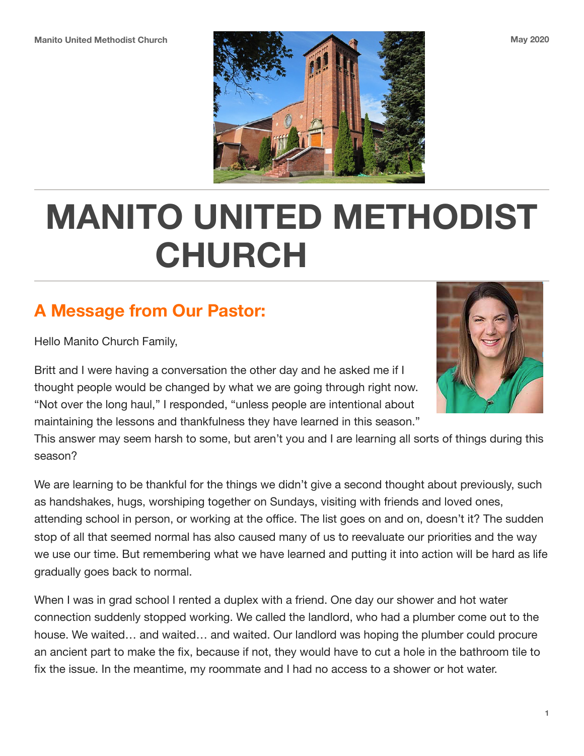

# **MANITO UNITED METHODIST CHURCH**

## **A Message from Our Pastor:**

Hello Manito Church Family,

Britt and I were having a conversation the other day and he asked me if I thought people would be changed by what we are going through right now. "Not over the long haul," I responded, "unless people are intentional about maintaining the lessons and thankfulness they have learned in this season."

This answer may seem harsh to some, but aren't you and I are learning all sorts of things during this season?

We are learning to be thankful for the things we didn't give a second thought about previously, such as handshakes, hugs, worshiping together on Sundays, visiting with friends and loved ones, attending school in person, or working at the office. The list goes on and on, doesn't it? The sudden stop of all that seemed normal has also caused many of us to reevaluate our priorities and the way we use our time. But remembering what we have learned and putting it into action will be hard as life gradually goes back to normal.

When I was in grad school I rented a duplex with a friend. One day our shower and hot water connection suddenly stopped working. We called the landlord, who had a plumber come out to the house. We waited… and waited… and waited. Our landlord was hoping the plumber could procure an ancient part to make the fix, because if not, they would have to cut a hole in the bathroom tile to fix the issue. In the meantime, my roommate and I had no access to a shower or hot water.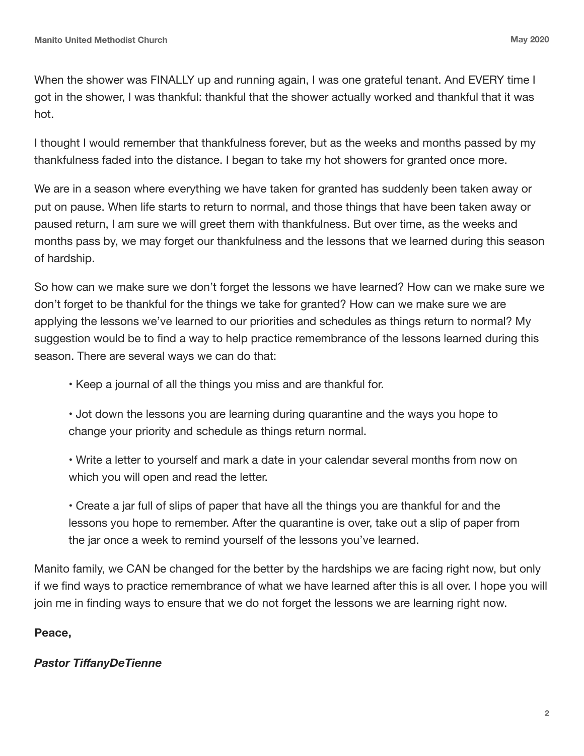When the shower was FINALLY up and running again, I was one grateful tenant. And EVERY time I got in the shower, I was thankful: thankful that the shower actually worked and thankful that it was hot.

I thought I would remember that thankfulness forever, but as the weeks and months passed by my thankfulness faded into the distance. I began to take my hot showers for granted once more.

We are in a season where everything we have taken for granted has suddenly been taken away or put on pause. When life starts to return to normal, and those things that have been taken away or paused return, I am sure we will greet them with thankfulness. But over time, as the weeks and months pass by, we may forget our thankfulness and the lessons that we learned during this season of hardship.

So how can we make sure we don't forget the lessons we have learned? How can we make sure we don't forget to be thankful for the things we take for granted? How can we make sure we are applying the lessons we've learned to our priorities and schedules as things return to normal? My suggestion would be to find a way to help practice remembrance of the lessons learned during this season. There are several ways we can do that:

- Keep a journal of all the things you miss and are thankful for.
- Jot down the lessons you are learning during quarantine and the ways you hope to change your priority and schedule as things return normal.
- Write a letter to yourself and mark a date in your calendar several months from now on which you will open and read the letter.

 • Create a jar full of slips of paper that have all the things you are thankful for and the lessons you hope to remember. After the quarantine is over, take out a slip of paper from the jar once a week to remind yourself of the lessons you've learned.

Manito family, we CAN be changed for the better by the hardships we are facing right now, but only if we find ways to practice remembrance of what we have learned after this is all over. I hope you will join me in finding ways to ensure that we do not forget the lessons we are learning right now.

#### **Peace,**

#### *Pastor TiffanyDeTienne*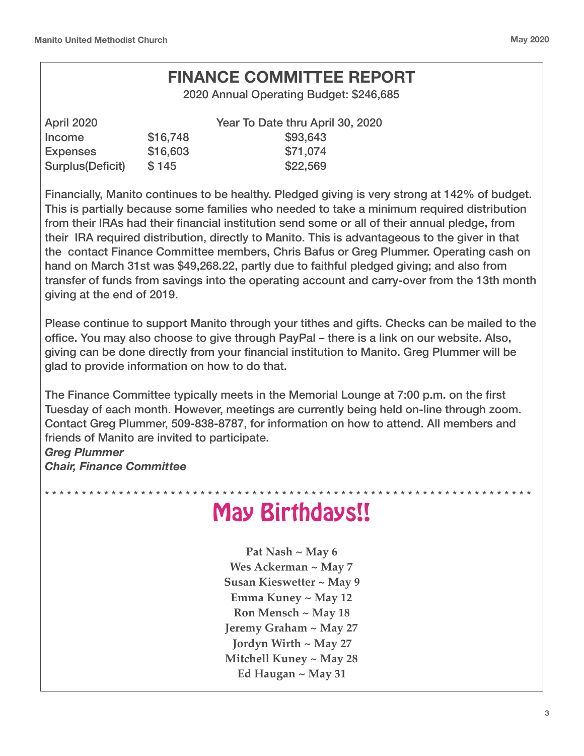#### **FINANCE COMMITTEE REPORT**

2020 Annual Operating Budget: \$246,685

| April 2020       |          | Year To Date thru April 30, 2020 |
|------------------|----------|----------------------------------|
| Income           | \$16,748 | \$93,643                         |
| <b>Expenses</b>  | \$16,603 | \$71,074                         |
| Surplus(Deficit) | \$145    | \$22,569                         |

Financially, Manito continues to be healthy. Pledged giving is very strong at 142% of budget. This is partially because some families who needed to take a minimum required distribution from their IRAs had their financial institution send some or all of their annual pledge, from their IRA required distribution, directly to Manito. This is advantageous to the giver in that the contact Finance Committee members, Chris Bafus or Greg Plummer. Operating cash on hand on March 31st was \$49,268.22, partly due to faithful pledged giving; and also from transfer of funds from savings into the operating account and carry-over from the 13th month giving at the end of 2019.

Please continue to support Manito through your tithes and gifts. Checks can be mailed to the office. You may also choose to give through PayPal – there is a link on our website. Also, giving can be done directly from your financial institution to Manito. Greg Plummer will be glad to provide information on how to do that.

The Finance Committee typically meets in the Memorial Lounge at 7:00 p.m. on the first Tuesday of each month. However, meetings are currently being held on-line through zoom. Contact Greg Plummer, 509-838-8787, for information on how to attend. All members and friends of Manito are invited to participate. *Greg Plummer* 

*Chair, Finance Committee* 

#### \* \* \* \* \* \* \* \* \* \* \* \* \* \* \* \* \* \* \* \* \* \* \* \* \* \* \* \* \* \* \* \* \* \* \* \* \* \* \* \* \* \* \* \* \* \* \* \* \* \* \* \* \* \* \* \* \* \* \* \* \* \* \* \* \* \* May Birthdays!!

**Pat Nash ~ May 6 Wes Ackerman ~ May 7 Susan Kieswetter ~ May 9 Emma Kuney ~ May 12 Ron Mensch ~ May 18 Jeremy Graham ~ May 27 Jordyn Wirth ~ May 27 Mitchell Kuney ~ May 28 Ed Haugan ~ May 31**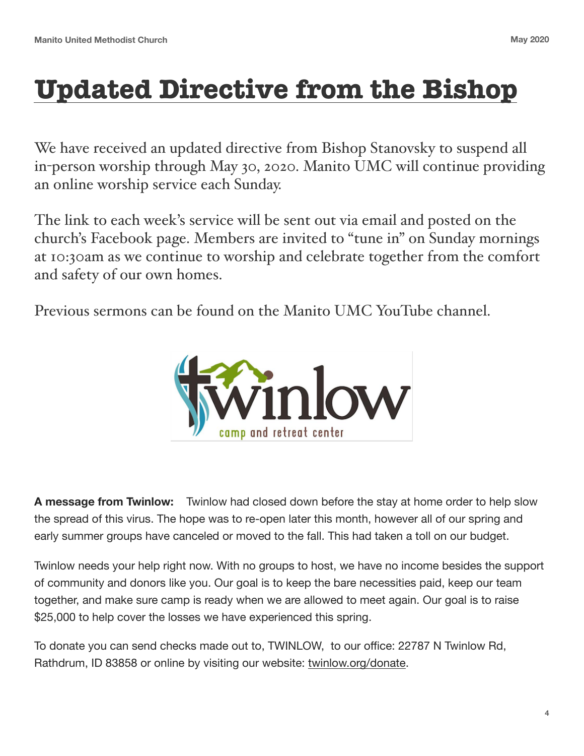## **Updated Directive from the Bishop**

We have received an updated directive from Bishop Stanovsky to suspend all in-person worship through May 30, 2020. Manito UMC will continue providing an online worship service each Sunday.

The link to each week's service will be sent out via email and posted on the church's Facebook page. Members are invited to "tune in" on Sunday mornings at 10:30am as we continue to worship and celebrate together from the comfort and safety of our own homes.

Previous sermons can be found on the Manito UMC YouTube channel.



**A message from Twinlow:** Twinlow had closed down before the stay at home order to help slow the spread of this virus. The hope was to re-open later this month, however all of our spring and early summer groups have canceled or moved to the fall. This had taken a toll on our budget.

Twinlow needs your help right now. With no groups to host, we have no income besides the support of community and donors like you. Our goal is to keep the bare necessities paid, keep our team together, and make sure camp is ready when we are allowed to meet again. Our goal is to raise \$25,000 to help cover the losses we have experienced this spring.

To donate you can send checks made out to, TWINLOW, to our office: 22787 N Twinlow Rd, Rathdrum, ID 83858 or online by visiting our website: [twinlow.org/donate.](http://twinlow.org/donate)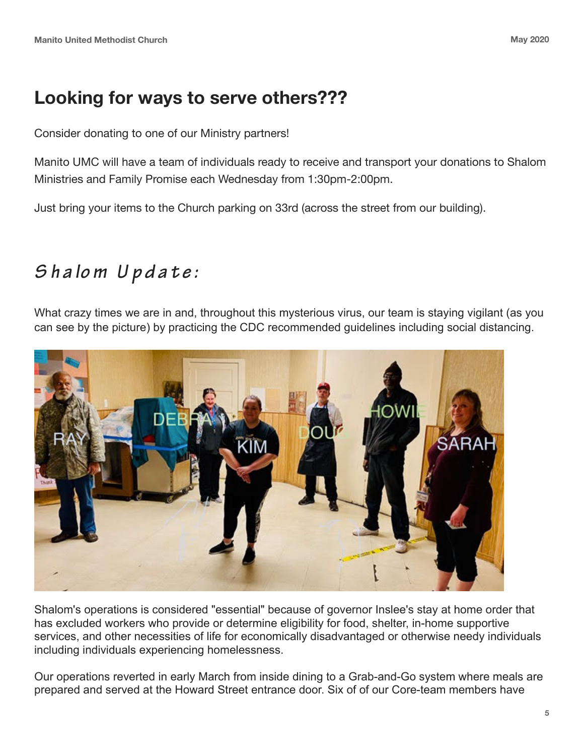### **Looking for ways to serve others???**

Consider donating to one of our Ministry partners!

Manito UMC will have a team of individuals ready to receive and transport your donations to Shalom Ministries and Family Promise each Wednesday from 1:30pm-2:00pm.

Just bring your items to the Church parking on 33rd (across the street from our building).

## *Shalom Update:*

What crazy times we are in and, throughout this mysterious virus, our team is staying vigilant (as you can see by the picture) by practicing the CDC recommended guidelines including social distancing.



Shalom's operations is considered "essential" because of governor Inslee's stay at home order that has excluded workers who provide or determine eligibility for food, shelter, in-home supportive services, and other necessities of life for economically disadvantaged or otherwise needy individuals including individuals experiencing homelessness.

Our operations reverted in early March from inside dining to a Grab-and-Go system where meals are prepared and served at the Howard Street entrance door. Six of of our Core-team members have